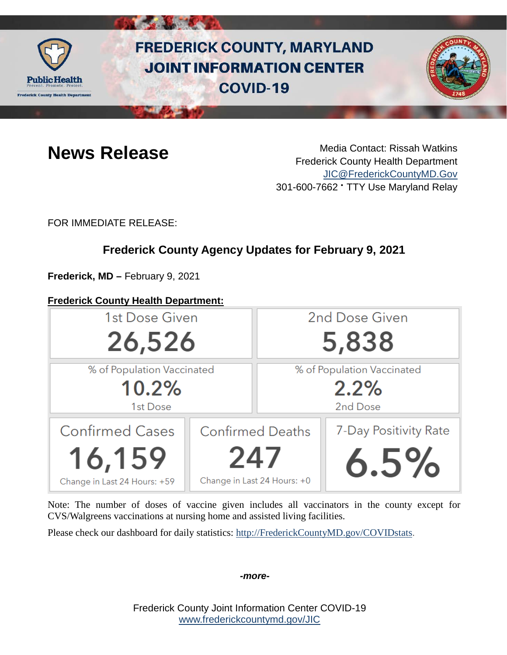

# **FREDERICK COUNTY, MARYLAND JOINT INFORMATION CENTER COVID-19**



**News Release** Media Contact: Rissah Watkins Frederick County Health Department [JIC@FrederickCountyMD.Gov](mailto:JIC@FrederickCountyMD.Gov) 301-600-7662 • TTY Use Maryland Relay

FOR IMMEDIATE RELEASE:

# **Frederick County Agency Updates for February 9, 2021**

**Frederick, MD –** February 9, 2021

#### **Frederick County Health Department:**



Note: The number of doses of vaccine given includes all vaccinators in the county except for CVS/Walgreens vaccinations at nursing home and assisted living facilities.

Please check our dashboard for daily statistics: [http://FrederickCountyMD.gov/COVIDstats.](http://frederickcountymd.gov/COVIDstats)

*-more-*

Frederick County Joint Information Center COVID-19 [www.frederickcountymd.gov/JIC](https://frederickcountymd.gov/JIC)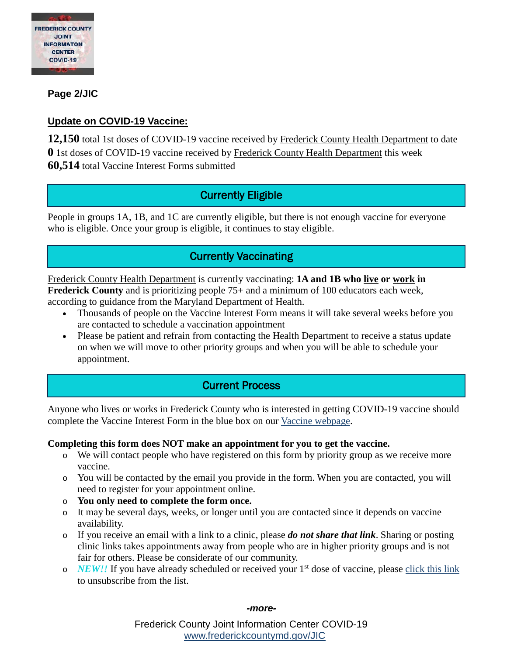

**Page 2/JIC**

#### **Update on COVID-19 Vaccine:**

**12,150** total 1st doses of COVID-19 vaccine received by Frederick County Health Department to date **0** 1st doses of COVID-19 vaccine received by Frederick County Health Department this week **60,514** total Vaccine Interest Forms submitted

# Currently Eligible

People in groups 1A, 1B, and 1C are currently eligible, but there is not enough vaccine for everyone who is eligible. Once your group is eligible, it continues to stay eligible.

# Currently Vaccinating

Frederick County Health Department is currently vaccinating: **1A and 1B who live or work in Frederick County** and is prioritizing people 75+ and a minimum of 100 educators each week, according to guidance from the Maryland Department of Health.

- Thousands of people on the Vaccine Interest Form means it will take several weeks before you are contacted to schedule a vaccination appointment
- Please be patient and refrain from contacting the Health Department to receive a status update on when we will move to other priority groups and when you will be able to schedule your appointment.

### Current Process

Anyone who lives or works in Frederick County who is interested in getting COVID-19 vaccine should complete the Vaccine Interest Form in the blue box on our [Vaccine webpage.](https://health.frederickcountymd.gov/629/COVID-19-Vaccine)

#### **Completing this form does NOT make an appointment for you to get the vaccine.**

- o We will contact people who have registered on this form by priority group as we receive more vaccine.
- o You will be contacted by the email you provide in the form. When you are contacted, you will need to register for your appointment online.
- o **You only need to complete the form once.**
- o It may be several days, weeks, or longer until you are contacted since it depends on vaccine availability.
- o If you receive an email with a link to a clinic, please *do not share that link*. Sharing or posting clinic links takes appointments away from people who are in higher priority groups and is not fair for others. Please be considerate of our community.
- o *NEW!!* If you have already scheduled or received your 1<sup>st</sup> dose of vaccine, please [click this link](https://forms.office.com/Pages/ResponsePage.aspx?id=LTTGSAY4Q0id7GpAsbuHNwWNYN1Yz5tBp0XTFg0s7vVUQzg2UFZYWVEzOThNVUtWRkpYSjNOUlBSUCQlQCN0PWcu) to unsubscribe from the list.

*-more-*

Frederick County Joint Information Center COVID-19 [www.frederickcountymd.gov/JIC](https://frederickcountymd.gov/JIC)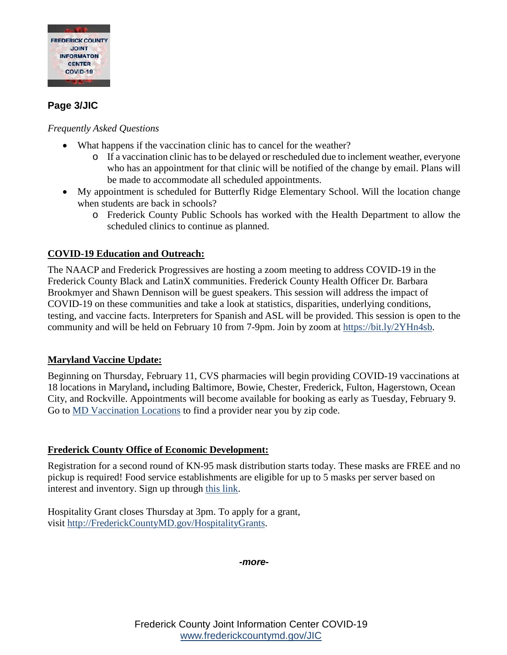

#### **Page 3/JIC**

#### *Frequently Asked Questions*

- What happens if the vaccination clinic has to cancel for the weather?
	- o If a vaccination clinic has to be delayed or rescheduled due to inclement weather, everyone who has an appointment for that clinic will be notified of the change by email. Plans will be made to accommodate all scheduled appointments.
- My appointment is scheduled for Butterfly Ridge Elementary School. Will the location change when students are back in schools?
	- o Frederick County Public Schools has worked with the Health Department to allow the scheduled clinics to continue as planned.

#### **COVID-19 Education and Outreach:**

The NAACP and Frederick Progressives are hosting a zoom meeting to address COVID-19 in the Frederick County Black and LatinX communities. Frederick County Health Officer Dr. Barbara Brookmyer and Shawn Dennison will be guest speakers. This session will address the impact of COVID-19 on these communities and take a look at statistics, disparities, underlying conditions, testing, and vaccine facts. Interpreters for Spanish and ASL will be provided. This session is open to the community and will be held on February 10 from 7-9pm. Join by zoom at [https://bit.ly/2YHn4sb.](https://bit.ly/2YHn4sb)

#### **Maryland Vaccine Update:**

Beginning on Thursday, February 11, CVS pharmacies will begin providing COVID-19 vaccinations at 18 locations in Maryland**,** including Baltimore, Bowie, Chester, Frederick, Fulton, Hagerstown, Ocean City, and Rockville. Appointments will become available for booking as early as Tuesday, February 9. Go to [MD Vaccination Locations](https://coronavirus.maryland.gov/datasets/md-vaccination-locations/data?geometry=-84.220%2C37.447%2C-70.344%2C40.437) to find a provider near you by zip code.

#### **Frederick County Office of Economic Development:**

Registration for a second round of KN-95 mask distribution starts today. These masks are FREE and no pickup is required! Food service establishments are eligible for up to 5 masks per server based on interest and inventory. Sign up through [this link.](http://survey.constantcontact.com/survey/a07ehk1bihikkmwfjqs/start)

Hospitality Grant closes Thursday at 3pm. To apply for a grant, visit [http://FrederickCountyMD.gov/HospitalityGrants.](http://frederickcountymd.gov/HospitalityGrants)

*-more-*